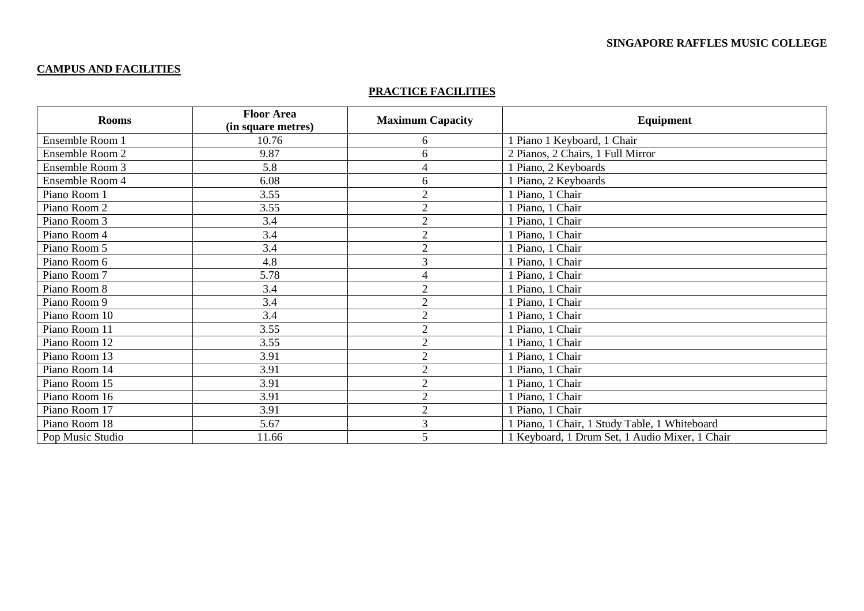# **CAMPUS AND FACILITIES**

### **PRACTICE FACILITIES**

| <b>Rooms</b>     | <b>Floor Area</b><br>(in square metres) | <b>Maximum Capacity</b> | <b>Equipment</b>                               |
|------------------|-----------------------------------------|-------------------------|------------------------------------------------|
| Ensemble Room 1  | 10.76                                   | 6                       | 1 Piano 1 Keyboard, 1 Chair                    |
| Ensemble Room 2  | 9.87                                    | 6                       | 2 Pianos, 2 Chairs, 1 Full Mirror              |
| Ensemble Room 3  | 5.8                                     | 4                       | 1 Piano, 2 Keyboards                           |
| Ensemble Room 4  | 6.08                                    | 6                       | 1 Piano, 2 Keyboards                           |
| Piano Room 1     | 3.55                                    | $\overline{2}$          | 1 Piano, 1 Chair                               |
| Piano Room 2     | 3.55                                    | $\overline{2}$          | 1 Piano, 1 Chair                               |
| Piano Room 3     | 3.4                                     | $\overline{2}$          | 1 Piano, 1 Chair                               |
| Piano Room 4     | 3.4                                     | $\overline{2}$          | 1 Piano, 1 Chair                               |
| Piano Room 5     | 3.4                                     | $\overline{2}$          | 1 Piano, 1 Chair                               |
| Piano Room 6     | 4.8                                     | 3                       | 1 Piano, 1 Chair                               |
| Piano Room 7     | 5.78                                    | 4                       | 1 Piano, 1 Chair                               |
| Piano Room 8     | 3.4                                     | $\overline{2}$          | 1 Piano, 1 Chair                               |
| Piano Room 9     | 3.4                                     | $\overline{2}$          | 1 Piano, 1 Chair                               |
| Piano Room 10    | 3.4                                     | $\overline{2}$          | 1 Piano, 1 Chair                               |
| Piano Room 11    | 3.55                                    | $\overline{2}$          | 1 Piano, 1 Chair                               |
| Piano Room 12    | 3.55                                    | $\overline{2}$          | 1 Piano, 1 Chair                               |
| Piano Room 13    | 3.91                                    | $\overline{2}$          | 1 Piano, 1 Chair                               |
| Piano Room 14    | 3.91                                    | $\overline{2}$          | 1 Piano, 1 Chair                               |
| Piano Room 15    | 3.91                                    | $\overline{2}$          | 1 Piano, 1 Chair                               |
| Piano Room 16    | 3.91                                    | $\overline{2}$          | 1 Piano, 1 Chair                               |
| Piano Room 17    | 3.91                                    | $\mathcal{L}$           | 1 Piano, 1 Chair                               |
| Piano Room 18    | 5.67                                    | 3                       | 1 Piano, 1 Chair, 1 Study Table, 1 Whiteboard  |
| Pop Music Studio | 11.66                                   |                         | 1 Keyboard, 1 Drum Set, 1 Audio Mixer, 1 Chair |